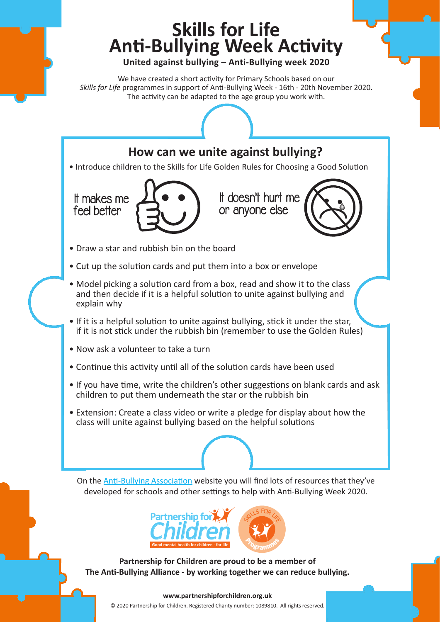## **Skills for Life Anti-Bullying Week Activity**

**United against bullying – Anti-Bullying week 2020**

We have created a short activity for Primary Schools based on our *Skills for Life* programmes in support of Anti-Bullying Week - 16th - 20th November 2020. The activity can be adapted to the age group you work with.

## **How can we unite against bullying?**

• Introduce children to the Skills for Life Golden Rules for Choosing a Good Solution





- Draw a star and rubbish bin on the board
- Cut up the solution cards and put them into a box or envelope
- Model picking a solution card from a box, read and show it to the class and then decide if it is a helpful solution to unite against bullying and explain why
- If it is a helpful solution to unite against bullying, stick it under the star, if it is not stick under the rubbish bin (remember to use the Golden Rules)
- Now ask a volunteer to take a turn
- Continue this activity until all of the solution cards have been used
- If you have time, write the children's other suggestions on blank cards and ask children to put them underneath the star or the rubbish bin
- Extension: Create a class video or write a pledge for display about how the class will unite against bullying based on the helpful solutions

On the [Anti-Bullying Association w](https://www.anti-bullyingalliance.org.uk)ebsite you will find lots of resources that they've developed for schools and other settings to help with Anti-Bullying Week 2020.



**Partnership for Children are proud to be a member of The Anti-Bullying Alliance - by working together we can reduce bullying.**

## © 2020 Partnership for Children. Registered Charity number: 1089810. All rights reserved. **www.partnershipforchildren.org.uk**